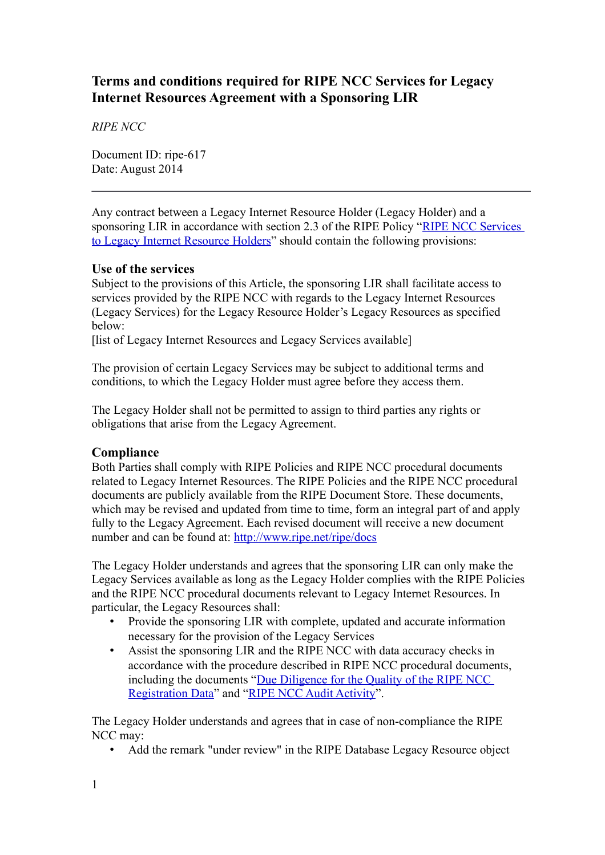# **Terms and conditions required for RIPE NCC Services for Legacy Internet Resources Agreement with a Sponsoring LIR**

*RIPE NCC*

Document ID: ripe-617 Date: August 2014

Any contract between a Legacy Internet Resource Holder (Legacy Holder) and a sponsoring LIR in accordance with section 2.3 of the RIPE Policy ["RIPE NCC Services](https://www.ripe.net/ripe/docs/ripe-605)  [to Legacy Internet Resource Holders"](https://www.ripe.net/ripe/docs/ripe-605) should contain the following provisions:

# **Use of the services**

Subject to the provisions of this Article, the sponsoring LIR shall facilitate access to services provided by the RIPE NCC with regards to the Legacy Internet Resources (Legacy Services) for the Legacy Resource Holder's Legacy Resources as specified below:

[list of Legacy Internet Resources and Legacy Services available]

The provision of certain Legacy Services may be subject to additional terms and conditions, to which the Legacy Holder must agree before they access them.

The Legacy Holder shall not be permitted to assign to third parties any rights or obligations that arise from the Legacy Agreement.

### **Compliance**

Both Parties shall comply with RIPE Policies and RIPE NCC procedural documents related to Legacy Internet Resources. The RIPE Policies and the RIPE NCC procedural documents are publicly available from the RIPE Document Store. These documents, which may be revised and updated from time to time, form an integral part of and apply fully to the Legacy Agreement. Each revised document will receive a new document number and can be found at:<http://www.ripe.net/ripe/docs>

The Legacy Holder understands and agrees that the sponsoring LIR can only make the Legacy Services available as long as the Legacy Holder complies with the RIPE Policies and the RIPE NCC procedural documents relevant to Legacy Internet Resources. In particular, the Legacy Resources shall:

- Provide the sponsoring LIR with complete, updated and accurate information necessary for the provision of the Legacy Services
- Assist the sponsoring LIR and the RIPE NCC with data accuracy checks in accordance with the procedure described in RIPE NCC procedural documents, including the documents "Due Diligence for the Quality of the RIPE NCC [Registration Data"](https://www.ripe.net/ripe/docs/due-diligence) and ["RIPE NCC Audit Activity"](https://www.ripe.net/ripe/docs/audit).

The Legacy Holder understands and agrees that in case of non-compliance the RIPE NCC may:

• Add the remark "under review" in the RIPE Database Legacy Resource object